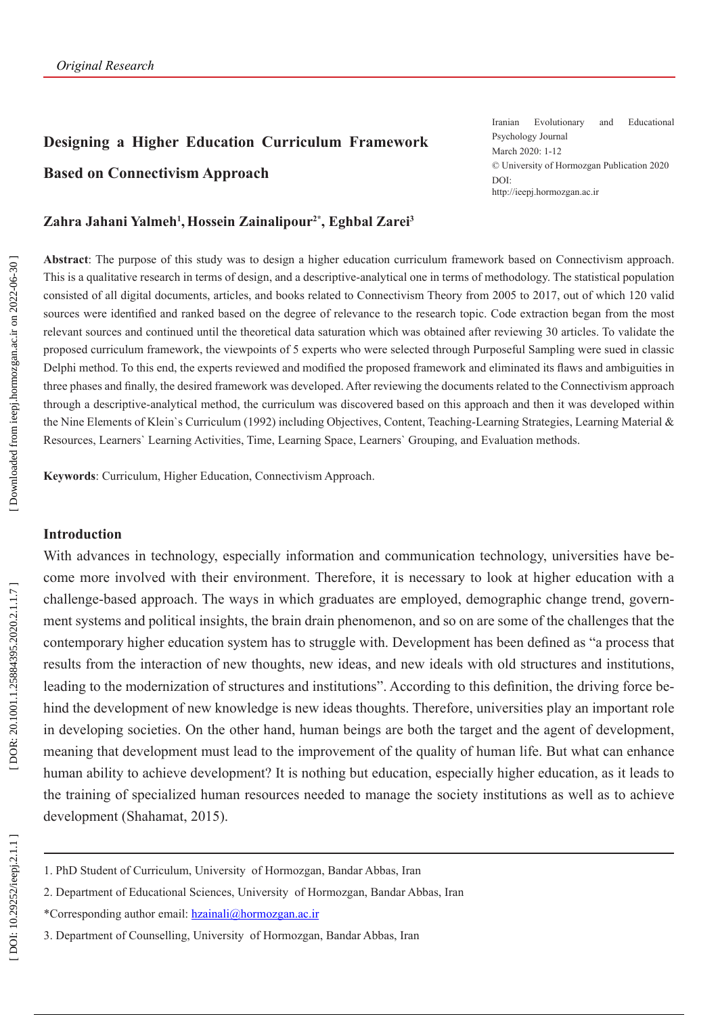# **Designing a Higher Education Curriculum Framework Based on Connectivism Approach**

Iranian Evolutionary and Educational Psychology Journal March 2020: 1-12 © University of Hormozgan Publication 2020 DOI: http://ieepj.hormozgan.ac.ir

#### **Zahra Jahani Yalmeh 1 ,Hossein Zainalipour2\*, Eghbal Zarei 3**

**Abstract**: The purpose of this study was to design a higher education curriculum framework based on Connectivism approach. This is a qualitative research in terms of design, and a descriptive-analytical one in terms of methodology. The statistical population consisted of all digital documents, articles, and books related to Connectivism Theory from 2005 to 2017, out of which 120 valid sources were identified and ranked based on the degree of relevance to the research topic. Code extraction began from the most relevant sources and continued until the theoretical data saturation which was obtained after reviewing 30 articles. To validate the proposed curriculum framework, the viewpoints of 5 experts who were selected through Purposeful Sampling were sued in classic Delphi method. To this end, the experts reviewed and modified the proposed framework and eliminated its flaws and ambiguities in three phases and finally, the desired framework was developed. After reviewing the documents related to the Connectivism approach through a descriptive-analytical method, the curriculum was discovered based on this approach and then it was developed within the Nine Elements of Klein`s Curriculum (1992) including Objectives, Content, Teaching-Learning Strategies, Learning Material & Resources, Learners` Learning Activities, Time, Learning Space, Learners` Grouping, and Evaluation methods.

**Keywords**: Curriculum, Higher Education, Connectivism Approach.

### **Introduction**

With advances in technology, especially information and communication technology, universities have become more involved with their environment. Therefore, it is necessary to look at higher education with a challenge-based approach. The ways in which graduates are employed, demographic change trend, govern ment systems and political insights, the brain drain phenomenon, and so on are some of the challenges that the contemporary higher education system has to struggle with. Development has been defined as "a process that results from the interaction of new thoughts, new ideas, and new ideals with old structures and institutions, leading to the modernization of structures and institutions". According to this definition, the driving force behind the development of new knowledge is new ideas thoughts. Therefore, universities play an important role in developing societies. On the other hand, human beings are both the target and the agent of development, meaning that development must lead to the improvement of the quality of human life. But what can enhance human ability to achieve development? It is nothing but education, especially higher education, as it leads to the training of specialized human resources needed to manage the society institutions as well as to achieve development (Shahamat, 2015).

- 1. PhD Student of Curriculum, University of Hormozgan, Bandar Abbas, Iran
- 2. Department of Educational Sciences, University of Hormozgan, Bandar Abbas, Iran
- \*Corresponding author email: [hzainali@hormozgan.ac.ir](mailto:hzainali@hormozgan.ac.ir)

<sup>3.</sup> Department of Counselling, University of Hormozgan, Bandar Abbas, Iran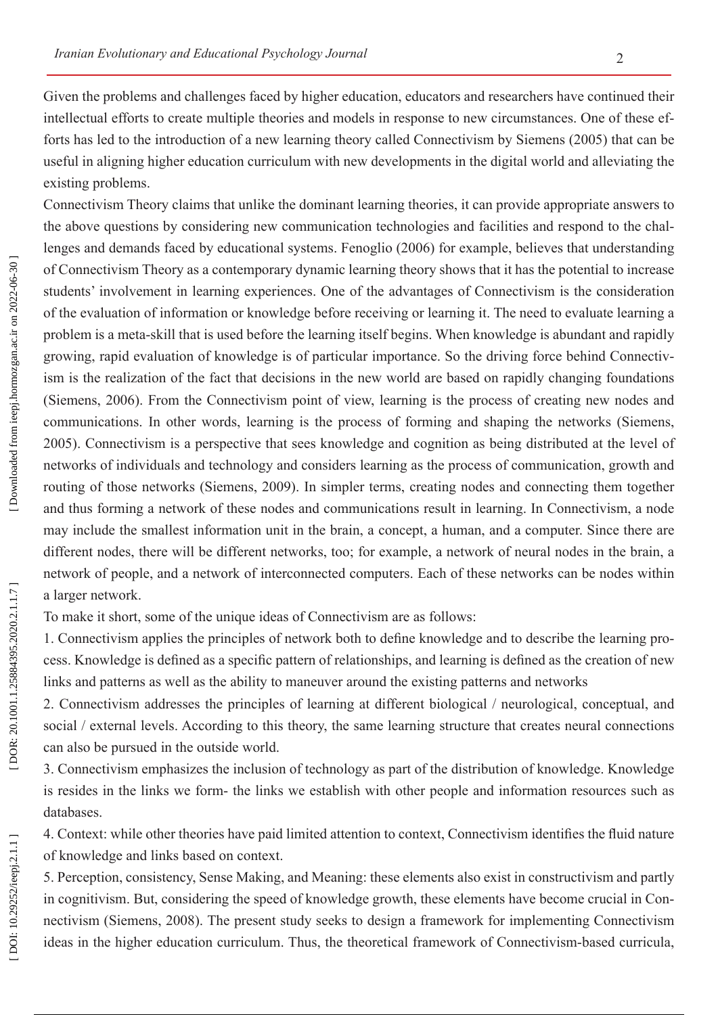Given the problems and challenges faced by higher education, educators and researchers have continued their intellectual efforts to create multiple theories and models in response to new circumstances. One of these efforts has led to the introduction of a new learning theory called Connectivism by Siemens (2005) that can be useful in aligning higher education curriculum with new developments in the digital world and alleviating the existing problems.

Connectivism Theory claims that unlike the dominant learning theories, it can provide appropriate answers to the above questions by considering new communication technologies and facilities and respond to the chal lenges and demands faced by educational systems. Fenoglio (2006) for example, believes that understanding of Connectivism Theory as a contemporary dynamic learning theory shows that it has the potential to increase students' involvement in learning experiences. One of the advantages of Connectivism is the consideration of the evaluation of information or knowledge before receiving or learning it. The need to evaluate learning a problem is a meta-skill that is used before the learning itself begins. When knowledge is abundant and rapidly growing, rapid evaluation of knowledge is of particular importance. So the driving force behind Connectiv ism is the realization of the fact that decisions in the new world are based on rapidly changing foundations (Siemens, 2006). From the Connectivism point of view, learning is the process of creating new nodes and communications. In other words, learning is the process of forming and shaping the networks (Siemens, 2005). Connectivism is a perspective that sees knowledge and cognition as being distributed at the level of networks of individuals and technology and considers learning as the process of communication, growth and routing of those networks (Siemens, 2009). In simpler terms, creating nodes and connecting them together and thus forming a network of these nodes and communications result in learning. In Connectivism, a node may include the smallest information unit in the brain, a concept, a human, and a computer. Since there are different nodes, there will be different networks, too; for example, a network of neural nodes in the brain, a network of people, and a network of interconnected computers. Each of these networks can be nodes within a larger network.

To make it short, some of the unique ideas of Connectivism are as follows:

1. Connectivism applies the principles of network both to define knowledge and to describe the learning pro cess. Knowledge is defined as a specific pattern of relationships, and learning is defined as the creation of new links and patterns as well as the ability to maneuver around the existing patterns and networks

2. Connectivism addresses the principles of learning at different biological / neurological, conceptual, and social / external levels. According to this theory, the same learning structure that creates neural connections can also be pursued in the outside world.

3. Connectivism emphasizes the inclusion of technology as part of the distribution of knowledge. Knowledge is resides in the links we form- the links we establish with other people and information resources such as databases.

4. Context: while other theories have paid limited attention to context, Connectivism identifies the fluid nature of knowledge and links based on context.

5. Perception, consistency, Sense Making, and Meaning: these elements also exist in constructivism and partly in cognitivism. But, considering the speed of knowledge growth, these elements have become crucial in Con nectivism (Siemens, 2008). The present study seeks to design a framework for implementing Connectivism ideas in the higher education curriculum. Thus, the theoretical framework of Connectivism-based curricula,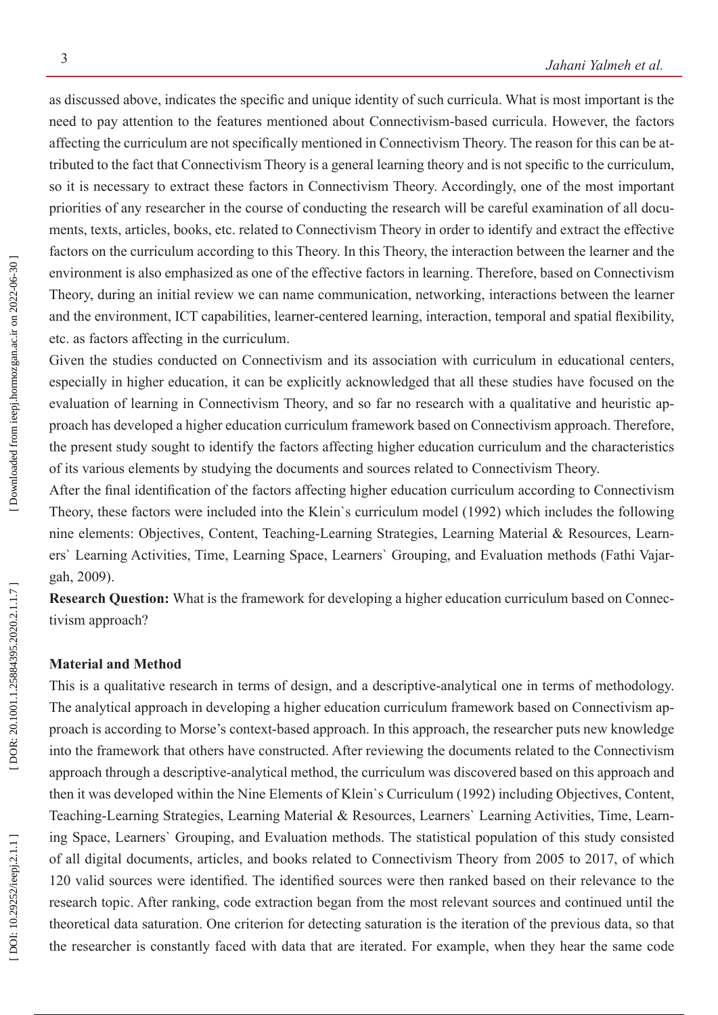as discussed above, indicates the specific and unique identity of such curricula. What is most important is the need to pay attention to the features mentioned about Connectivism-based curricula. However, the factors affecting the curriculum are not specifically mentioned in Connectivism Theory. The reason for this can be at tributed to the fact that Connectivism Theory is a general learning theory and is not specific to the curriculum, so it is necessary to extract these factors in Connectivism Theory. Accordingly, one of the most important priorities of any researcher in the course of conducting the research will be careful examination of all docu ments, texts, articles, books, etc. related to Connectivism Theory in order to identify and extract the effective factors on the curriculum according to this Theory. In this Theory, the interaction between the learner and the environment is also emphasized as one of the effective factors in learning. Therefore, based on Connectivism Theory, during an initial review we can name communication, networking, interactions between the learner and the environment, ICT capabilities, learner-centered learning, interaction, temporal and spatial flexibility, etc. as factors affecting in the curriculum.

Given the studies conducted on Connectivism and its association with curriculum in educational centers, especially in higher education, it can be explicitly acknowledged that all these studies have focused on the evaluation of learning in Connectivism Theory, and so far no research with a qualitative and heuristic ap proach has developed a higher education curriculum framework based on Connectivism approach. Therefore, the present study sought to identify the factors affecting higher education curriculum and the characteristics of its various elements by studying the documents and sources related to Connectivism Theory.

After the final identification of the factors affecting higher education curriculum according to Connectivism Theory, these factors were included into the Klein`s curriculum model (1992) which includes the following nine elements: Objectives, Content, Teaching-Learning Strategies, Learning Material & Resources, Learn ers` Learning Activities, Time, Learning Space, Learners` Grouping, and Evaluation methods (Fathi Vajar gah, 2009).

**Research Question:** What is the framework for developing a higher education curriculum based on Connec tivism approach?

## **Material and Method**

This is a qualitative research in terms of design, and a descriptive-analytical one in terms of methodology. The analytical approach in developing a higher education curriculum framework based on Connectivism ap proach is according to Morse's context-based approach. In this approach, the researcher puts new knowledge into the framework that others have constructed. After reviewing the documents related to the Connectivism approach through a descriptive-analytical method, the curriculum was discovered based on this approach and then it was developed within the Nine Elements of Klein`s Curriculum (1992) including Objectives, Content, Teaching-Learning Strategies, Learning Material & Resources, Learners` Learning Activities, Time, Learn ing Space, Learners` Grouping, and Evaluation methods. The statistical population of this study consisted of all digital documents, articles, and books related to Connectivism Theory from 2005 to 2017, of which 120 valid sources were identified. The identified sources were then ranked based on their relevance to the research topic. After ranking, code extraction began from the most relevant sources and continued until the theoretical data saturation. One criterion for detecting saturation is the iteration of the previous data, so that the researcher is constantly faced with data that are iterated. For example, when they hear the same code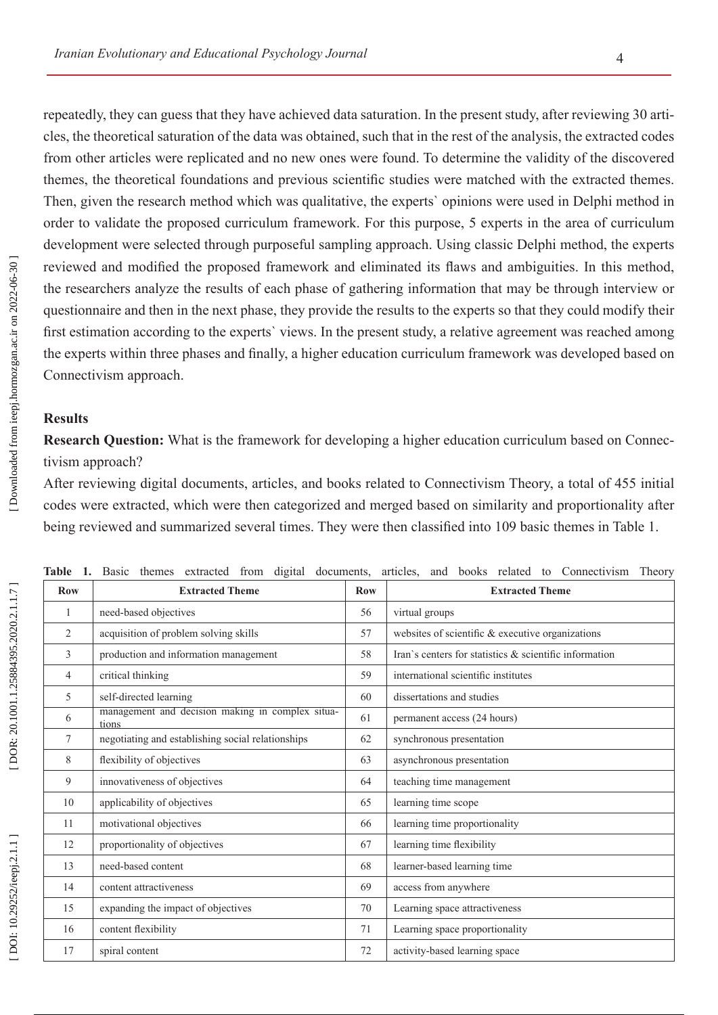repeatedly, they can guess that they have achieved data saturation. In the present study, after reviewing 30 arti cles, the theoretical saturation of the data was obtained, such that in the rest of the analysis, the extracted codes from other articles were replicated and no new ones were found. To determine the validity of the discovered themes, the theoretical foundations and previous scientific studies were matched with the extracted themes. Then, given the research method which was qualitative, the experts` opinions were used in Delphi method in order to validate the proposed curriculum framework. For this purpose, 5 experts in the area of curriculum development were selected through purposeful sampling approach. Using classic Delphi method, the experts reviewed and modified the proposed framework and eliminated its flaws and ambiguities. In this method, the researchers analyze the results of each phase of gathering information that may be through interview or questionnaire and then in the next phase, they provide the results to the experts so that they could modify their first estimation according to the experts` views. In the present study, a relative agreement was reached among the experts within three phases and finally, a higher education curriculum framework was developed based on Connectivism approach.

## **Results**

**Research Question:** What is the framework for developing a higher education curriculum based on Connec tivism approach?

After reviewing digital documents, articles, and books related to Connectivism Theory, a total of 455 initial codes were extracted, which were then categorized and merged based on similarity and proportionality after being reviewed and summarized several times. They were then classified into 109 basic themes in Table 1.

| <b>Row</b> | <b>Extracted Theme</b>                                    | <b>Row</b> | <b>Extracted Theme</b>                                 |  |  |
|------------|-----------------------------------------------------------|------------|--------------------------------------------------------|--|--|
| 1          | need-based objectives                                     | 56         | virtual groups                                         |  |  |
| 2          | acquisition of problem solving skills                     | 57         | websites of scientific & executive organizations       |  |  |
| 3          | production and information management                     | 58         | Iran's centers for statistics & scientific information |  |  |
| 4          | critical thinking                                         | 59         | international scientific institutes                    |  |  |
| 5          | self-directed learning                                    | 60         | dissertations and studies                              |  |  |
| 6          | management and decision making in complex situa-<br>tions | 61         | permanent access (24 hours)                            |  |  |
| 7          | negotiating and establishing social relationships         | 62         | synchronous presentation                               |  |  |
| 8          | flexibility of objectives                                 | 63         | asynchronous presentation                              |  |  |
| 9          | innovativeness of objectives                              | 64         | teaching time management                               |  |  |
| 10         | applicability of objectives                               | 65         | learning time scope                                    |  |  |
| 11         | motivational objectives                                   | 66         | learning time proportionality                          |  |  |
| 12         | proportionality of objectives                             | 67         | learning time flexibility                              |  |  |
| 13         | need-based content                                        | 68         | learner-based learning time                            |  |  |
| 14         | content attractiveness                                    | 69         | access from anywhere                                   |  |  |
| 15         | expanding the impact of objectives                        | 70         | Learning space attractiveness                          |  |  |
| 16         | content flexibility                                       | 71         | Learning space proportionality                         |  |  |
| 17         | spiral content                                            | 72         | activity-based learning space                          |  |  |

**Table 1.** Basic themes extracted from digital documents, articles, and books related to Connectivism Theory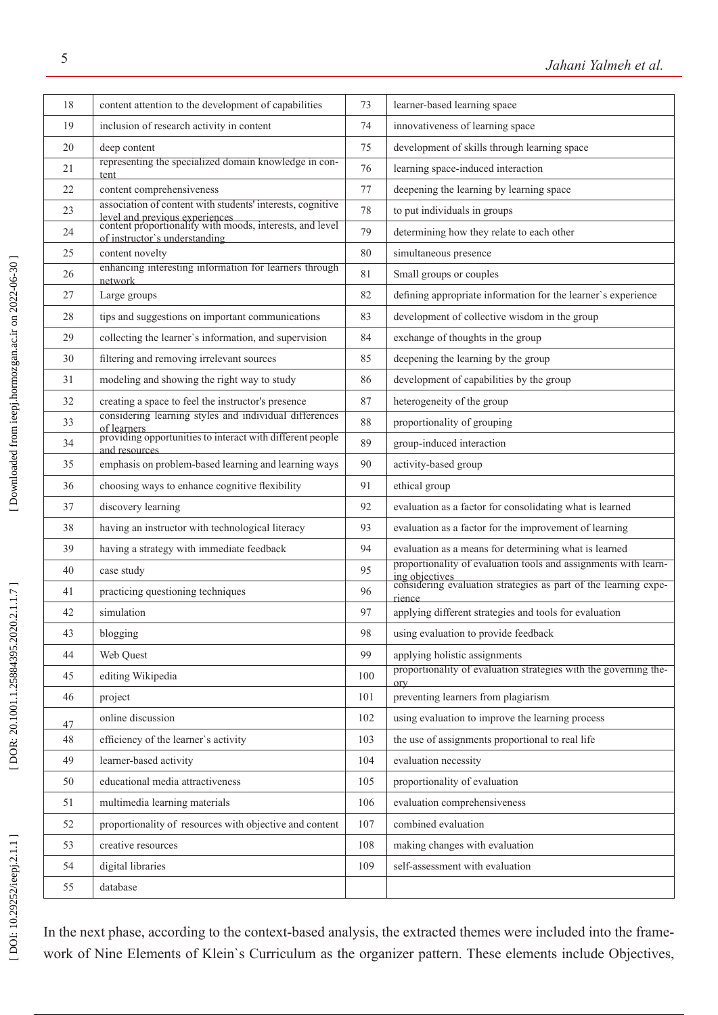| 18 | content attention to the development of capabilities                                                                        | 73  | learner-based learning space                                                      |  |  |
|----|-----------------------------------------------------------------------------------------------------------------------------|-----|-----------------------------------------------------------------------------------|--|--|
| 19 | inclusion of research activity in content                                                                                   | 74  | innovativeness of learning space                                                  |  |  |
| 20 | deep content                                                                                                                | 75  | development of skills through learning space                                      |  |  |
| 21 | representing the specialized domain knowledge in con-<br>tent                                                               | 76  | learning space-induced interaction                                                |  |  |
| 22 | content comprehensiveness                                                                                                   | 77  | deepening the learning by learning space                                          |  |  |
| 23 | association of content with students' interests, cognitive                                                                  | 78  | to put individuals in groups                                                      |  |  |
| 24 | level and previous experiences<br>content proportionality with moods, interests, and level<br>of instructor's understanding | 79  | determining how they relate to each other                                         |  |  |
| 25 | content novelty                                                                                                             | 80  | simultaneous presence                                                             |  |  |
| 26 | enhancing interesting information for learners through<br>network                                                           | 81  | Small groups or couples                                                           |  |  |
| 27 | Large groups                                                                                                                | 82  | defining appropriate information for the learner's experience                     |  |  |
| 28 | tips and suggestions on important communications                                                                            | 83  | development of collective wisdom in the group                                     |  |  |
| 29 | collecting the learner's information, and supervision                                                                       | 84  | exchange of thoughts in the group                                                 |  |  |
| 30 | filtering and removing irrelevant sources                                                                                   | 85  | deepening the learning by the group                                               |  |  |
| 31 | modeling and showing the right way to study                                                                                 | 86  | development of capabilities by the group                                          |  |  |
| 32 | creating a space to feel the instructor's presence                                                                          | 87  | heterogeneity of the group                                                        |  |  |
| 33 | considering learning styles and individual differences<br>of learners                                                       | 88  | proportionality of grouping                                                       |  |  |
| 34 | providing opportunities to interact with different people<br>and resources                                                  | 89  | group-induced interaction                                                         |  |  |
| 35 | emphasis on problem-based learning and learning ways                                                                        | 90  | activity-based group                                                              |  |  |
| 36 | choosing ways to enhance cognitive flexibility                                                                              | 91  | ethical group                                                                     |  |  |
| 37 | discovery learning                                                                                                          | 92  | evaluation as a factor for consolidating what is learned                          |  |  |
| 38 | having an instructor with technological literacy                                                                            | 93  | evaluation as a factor for the improvement of learning                            |  |  |
| 39 | having a strategy with immediate feedback                                                                                   | 94  | evaluation as a means for determining what is learned                             |  |  |
| 40 | case study                                                                                                                  | 95  | proportionality of evaluation tools and assignments with learn-<br>ing objectives |  |  |
| 41 | practicing questioning techniques                                                                                           | 96  | considering evaluation strategies as part of the learning expe-<br>rience         |  |  |
| 42 | simulation                                                                                                                  | 97  | applying different strategies and tools for evaluation                            |  |  |
| 43 | blogging                                                                                                                    | 98  | using evaluation to provide feedback                                              |  |  |
| 44 | Web Quest                                                                                                                   | 99  | applying holistic assignments                                                     |  |  |
| 45 | editing Wikipedia                                                                                                           | 100 | proportionality of evaluation strategies with the governing the-<br>ory           |  |  |
| 46 | project                                                                                                                     | 101 | preventing learners from plagiarism                                               |  |  |
| 47 | online discussion                                                                                                           | 102 | using evaluation to improve the learning process                                  |  |  |
| 48 | efficiency of the learner's activity                                                                                        | 103 | the use of assignments proportional to real life                                  |  |  |
| 49 | learner-based activity                                                                                                      | 104 | evaluation necessity                                                              |  |  |
| 50 | educational media attractiveness                                                                                            | 105 | proportionality of evaluation                                                     |  |  |
| 51 | multimedia learning materials                                                                                               | 106 | evaluation comprehensiveness                                                      |  |  |
| 52 | proportionality of resources with objective and content                                                                     | 107 | combined evaluation                                                               |  |  |
| 53 | creative resources                                                                                                          | 108 | making changes with evaluation                                                    |  |  |
| 54 | digital libraries                                                                                                           | 109 | self-assessment with evaluation                                                   |  |  |
| 55 | database                                                                                                                    |     |                                                                                   |  |  |
|    |                                                                                                                             |     |                                                                                   |  |  |

In the next phase, according to the context-based analysis, the extracted themes were included into the framework of Nine Elements of Klein`s Curriculum as the organizer pattern. These elements include Objectives,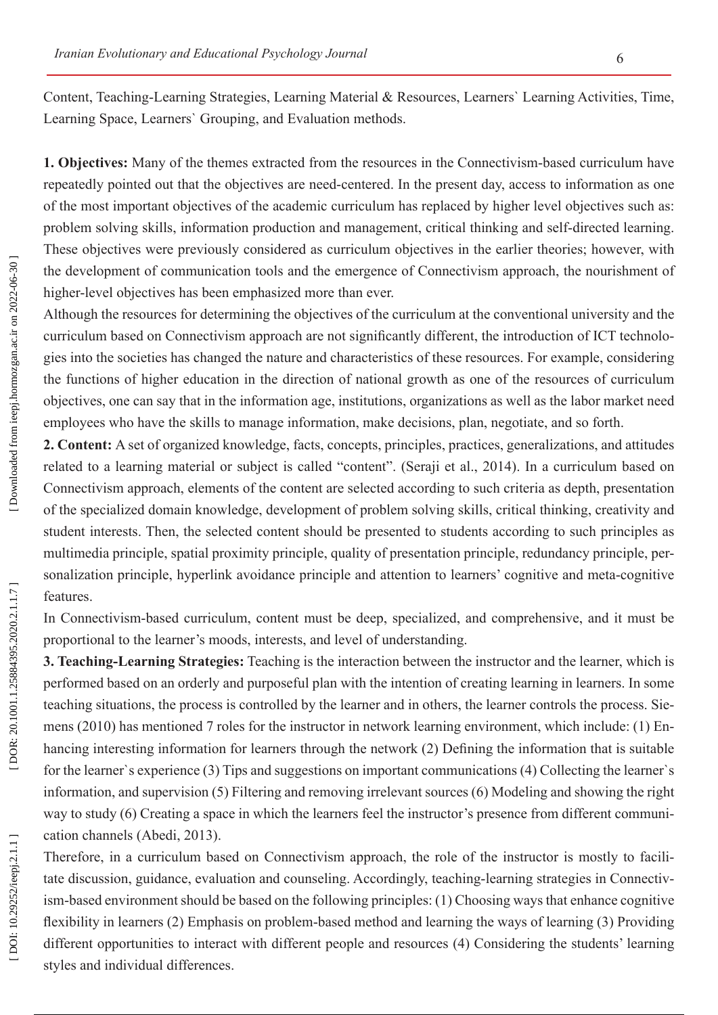Content, Teaching-Learning Strategies, Learning Material & Resources, Learners` Learning Activities, Time, Learning Space, Learners` Grouping, and Evaluation methods.

**1. Objectives:** Many of the themes extracted from the resources in the Connectivism-based curriculum have repeatedly pointed out that the objectives are need-centered. In the present day, access to information as one of the most important objectives of the academic curriculum has replaced by higher level objectives such as: problem solving skills, information production and management, critical thinking and self-directed learning. These objectives were previously considered as curriculum objectives in the earlier theories; however, with the development of communication tools and the emergence of Connectivism approach, the nourishment of higher-level objectives has been emphasized more than ever.

Although the resources for determining the objectives of the curriculum at the conventional university and the curriculum based on Connectivism approach are not significantly different, the introduction of ICT technolo gies into the societies has changed the nature and characteristics of these resources. For example, considering the functions of higher education in the direction of national growth as one of the resources of curriculum objectives, one can say that in the information age, institutions, organizations as well as the labor market need employees who have the skills to manage information, make decisions, plan, negotiate, and so forth.

**2. Content:** A set of organized knowledge, facts, concepts, principles, practices, generalizations, and attitudes related to a learning material or subject is called "content". (Seraji et al., 2014). In a curriculum based on Connectivism approach, elements of the content are selected according to such criteria as depth, presentation of the specialized domain knowledge, development of problem solving skills, critical thinking, creativity and student interests. Then, the selected content should be presented to students according to such principles as multimedia principle, spatial proximity principle, quality of presentation principle, redundancy principle, per sonalization principle, hyperlink avoidance principle and attention to learners' cognitive and meta-cognitive features.

In Connectivism-based curriculum, content must be deep, specialized, and comprehensive, and it must be proportional to the learner's moods, interests, and level of understanding.

**3. Teaching-Learning Strategies:** Teaching is the interaction between the instructor and the learner, which is performed based on an orderly and purposeful plan with the intention of creating learning in learners. In some teaching situations, the process is controlled by the learner and in others, the learner controls the process. Sie mens (2010) has mentioned 7 roles for the instructor in network learning environment, which include: (1) En hancing interesting information for learners through the network (2) Defining the information that is suitable for the learner`s experience (3) Tips and suggestions on important communications (4) Collecting the learner`s information, and supervision (5) Filtering and removing irrelevant sources (6) Modeling and showing the right way to study (6) Creating a space in which the learners feel the instructor's presence from different communi cation channels (Abedi, 2013).

Therefore, in a curriculum based on Connectivism approach, the role of the instructor is mostly to facili tate discussion, guidance, evaluation and counseling. Accordingly, teaching-learning strategies in Connectiv ism-based environment should be based on the following principles: (1) Choosing ways that enhance cognitive flexibility in learners (2) Emphasis on problem-based method and learning the ways of learning (3) Providing different opportunities to interact with different people and resources (4) Considering the students' learning styles and individual differences.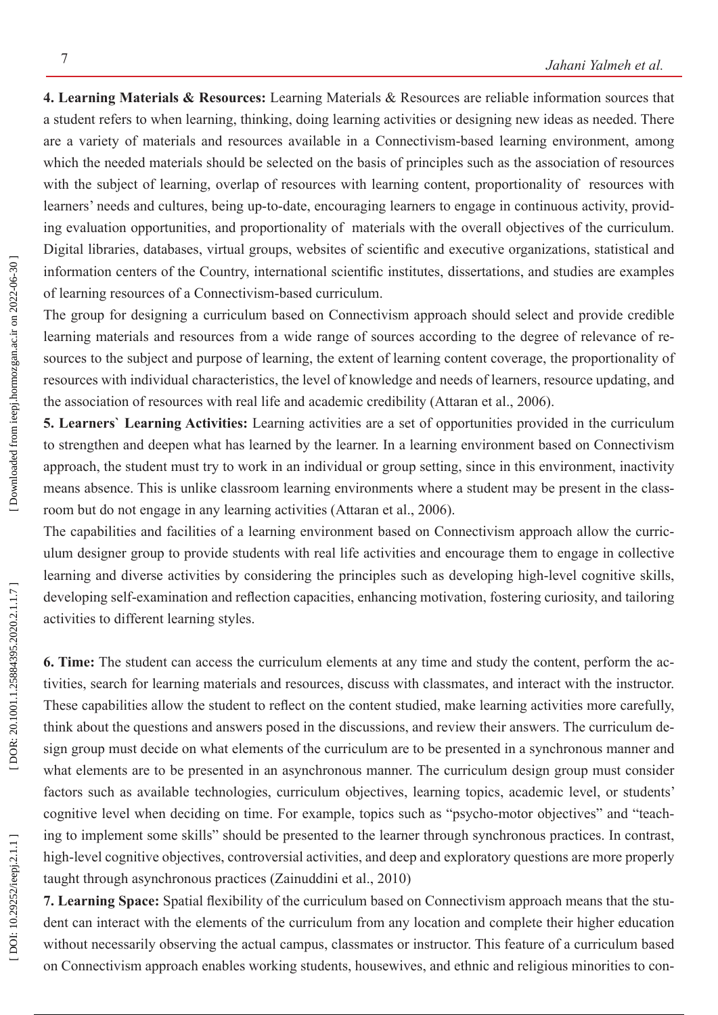**4. Learning Materials & Resources:** Learning Materials & Resources are reliable information sources that a student refers to when learning, thinking, doing learning activities or designing new ideas as needed. There are a variety of materials and resources available in a Connectivism-based learning environment, among which the needed materials should be selected on the basis of principles such as the association of resources with the subject of learning, overlap of resources with learning content, proportionality of resources with learners' needs and cultures, being up-to-date, encouraging learners to engage in continuous activity, provid ing evaluation opportunities, and proportionality of materials with the overall objectives of the curriculum. Digital libraries, databases, virtual groups, websites of scientific and executive organizations, statistical and information centers of the Country, international scientific institutes, dissertations, and studies are examples of learning resources of a Connectivism-based curriculum.

The group for designing a curriculum based on Connectivism approach should select and provide credible learning materials and resources from a wide range of sources according to the degree of relevance of resources to the subject and purpose of learning, the extent of learning content coverage, the proportionality of resources with individual characteristics, the level of knowledge and needs of learners, resource updating, and the association of resources with real life and academic credibility (Attaran et al., 2006).

**5. Learners` Learning Activities:** Learning activities are a set of opportunities provided in the curriculum to strengthen and deepen what has learned by the learner. In a learning environment based on Connectivism approach, the student must try to work in an individual or group setting, since in this environment, inactivity means absence. This is unlike classroom learning environments where a student may be present in the class room but do not engage in any learning activities (Attaran et al., 2006).

The capabilities and facilities of a learning environment based on Connectivism approach allow the curric ulum designer group to provide students with real life activities and encourage them to engage in collective learning and diverse activities by considering the principles such as developing high-level cognitive skills, developing self-examination and reflection capacities, enhancing motivation, fostering curiosity, and tailoring activities to different learning styles.

**6. Time:** The student can access the curriculum elements at any time and study the content, perform the ac tivities, search for learning materials and resources, discuss with classmates, and interact with the instructor. These capabilities allow the student to reflect on the content studied, make learning activities more carefully, think about the questions and answers posed in the discussions, and review their answers. The curriculum de sign group must decide on what elements of the curriculum are to be presented in a synchronous manner and what elements are to be presented in an asynchronous manner. The curriculum design group must consider factors such as available technologies, curriculum objectives, learning topics, academic level, or students' cognitive level when deciding on time. For example, topics such as "psycho-motor objectives" and "teaching to implement some skills" should be presented to the learner through synchronous practices. In contrast, high-level cognitive objectives, controversial activities, and deep and exploratory questions are more properly taught through asynchronous practices (Zainuddini et al., 2010)

**7. Learning Space:** Spatial flexibility of the curriculum based on Connectivism approach means that the stu dent can interact with the elements of the curriculum from any location and complete their higher education without necessarily observing the actual campus, classmates or instructor. This feature of a curriculum based on Connectivism approach enables working students, housewives, and ethnic and religious minorities to con -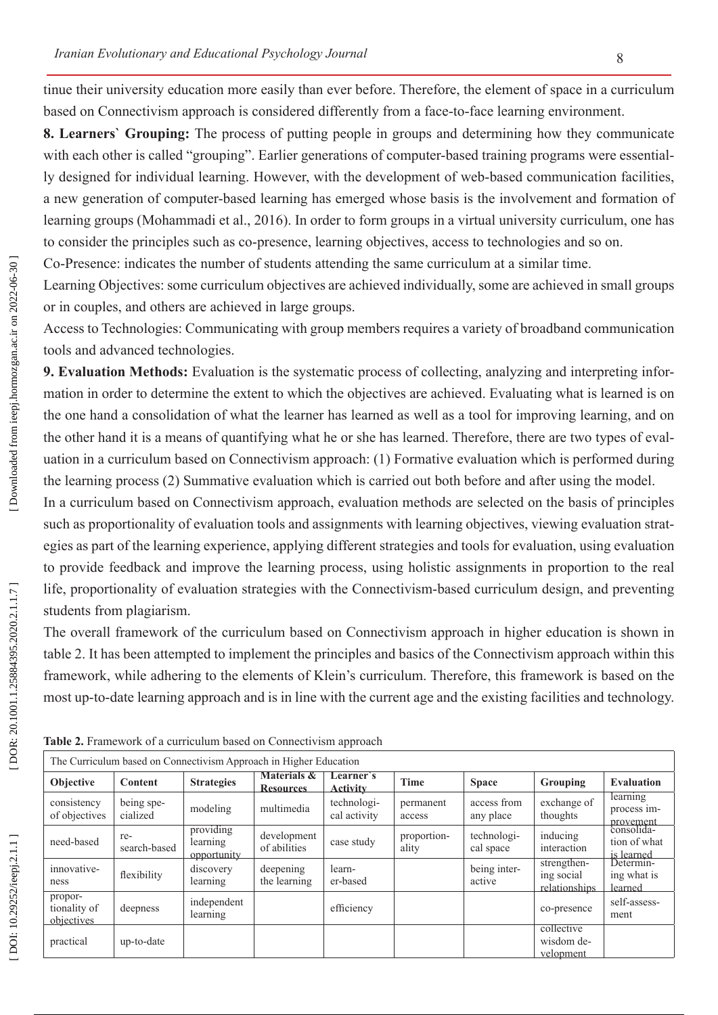tinue their university education more easily than ever before. Therefore, the element of space in a curriculum based on Connectivism approach is considered differently from a face-to-face learning environment.

**8. Learners` Grouping:** The process of putting people in groups and determining how they communicate with each other is called "grouping". Earlier generations of computer-based training programs were essentially designed for individual learning. However, with the development of web-based communication facilities, a new generation of computer-based learning has emerged whose basis is the involvement and formation of learning groups (Mohammadi et al., 2016). In order to form groups in a virtual university curriculum, one has to consider the principles such as co-presence, learning objectives, access to technologies and so on.

Co-Presence: indicates the number of students attending the same curriculum at a similar time.

Learning Objectives: some curriculum objectives are achieved individually, some are achieved in small groups or in couples, and others are achieved in large groups.

Access to Technologies: Communicating with group members requires a variety of broadband communication tools and advanced technologies.

**9. Evaluation Methods:** Evaluation is the systematic process of collecting, analyzing and interpreting infor mation in order to determine the extent to which the objectives are achieved. Evaluating what is learned is on the one hand a consolidation of what the learner has learned as well as a tool for improving learning, and on the other hand it is a means of quantifying what he or she has learned. Therefore, there are two types of eval uation in a curriculum based on Connectivism approach: (1) Formative evaluation which is performed during the learning process (2) Summative evaluation which is carried out both before and after using the model.

In a curriculum based on Connectivism approach, evaluation methods are selected on the basis of principles such as proportionality of evaluation tools and assignments with learning objectives, viewing evaluation strat egies as part of the learning experience, applying different strategies and tools for evaluation, using evaluation to provide feedback and improve the learning process, using holistic assignments in proportion to the real life, proportionality of evaluation strategies with the Connectivism-based curriculum design, and preventing students from plagiarism.

The overall framework of the curriculum based on Connectivism approach in higher education is shown in table 2. It has been attempted to implement the principles and basics of the Connectivism approach within this framework, while adhering to the elements of Klein's curriculum. Therefore, this framework is based on the most up-to-date learning approach and is in line with the current age and the existing facilities and technology.

| The Curriculum based on Connectivism Approach in Higher Education |                        |                                      |                                            |                              |                      |                          |                                            |                                                       |  |  |
|-------------------------------------------------------------------|------------------------|--------------------------------------|--------------------------------------------|------------------------------|----------------------|--------------------------|--------------------------------------------|-------------------------------------------------------|--|--|
| <b>Objective</b>                                                  | <b>Content</b>         | <b>Strategies</b>                    | <b>Materials &amp;</b><br><b>Resources</b> | Learner's<br><b>Activity</b> | <b>Time</b>          | <b>Space</b>             | Grouping                                   | <b>Evaluation</b>                                     |  |  |
| consistency<br>of objectives                                      | being spe-<br>cialized | modeling                             | multimedia                                 | technologi-<br>cal activity  | permanent<br>access  | access from<br>any place | exchange of<br>thoughts                    | learning<br>process im-                               |  |  |
| need-based                                                        | re-<br>search-based    | providing<br>learning<br>opportunity | development<br>of abilities                | case study                   | proportion-<br>ality | technologi-<br>cal space | inducing<br>interaction                    | provement<br>consolida-<br>tion of what<br>is learned |  |  |
| innovative-<br>ness                                               | flexibility            | discovery<br>learning                | deepening<br>the learning                  | learn-<br>er-based           |                      | being inter-<br>active   | strengthen-<br>ing social<br>relationships | Determin-<br>ing what is<br>learned                   |  |  |
| propor-<br>tionality of<br>objectives                             | deepness               | independent<br>learning              |                                            | efficiency                   |                      |                          | co-presence                                | self-assess-<br>ment                                  |  |  |
| practical                                                         | up-to-date             |                                      |                                            |                              |                      |                          | collective<br>wisdom de-<br>velopment      |                                                       |  |  |

**Table 2.** Framework of a curriculum based on Connectivism approach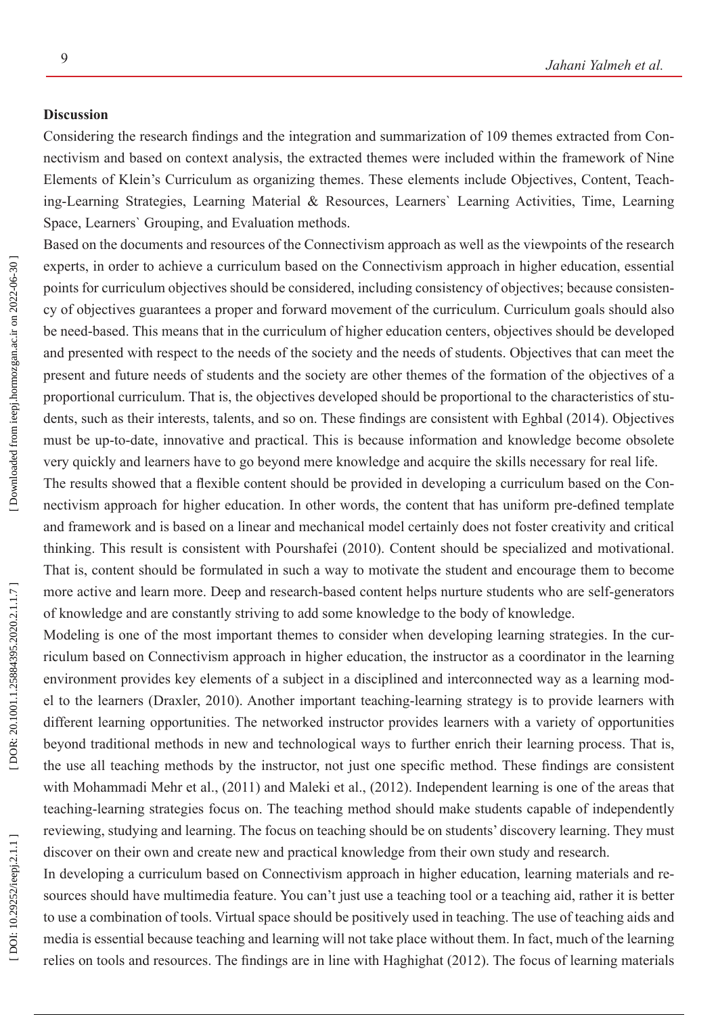## **Discussion**

Considering the research findings and the integration and summarization of 109 themes extracted from Con nectivism and based on context analysis, the extracted themes were included within the framework of Nine Elements of Klein's Curriculum as organizing themes. These elements include Objectives, Content, Teach ing-Learning Strategies, Learning Material & Resources, Learners` Learning Activities, Time, Learning Space, Learners` Grouping, and Evaluation methods.

Based on the documents and resources of the Connectivism approach as well as the viewpoints of the research experts, in order to achieve a curriculum based on the Connectivism approach in higher education, essential points for curriculum objectives should be considered, including consistency of objectives; because consisten cy of objectives guarantees a proper and forward movement of the curriculum. Curriculum goals should also be need-based. This means that in the curriculum of higher education centers, objectives should be developed and presented with respect to the needs of the society and the needs of students. Objectives that can meet the present and future needs of students and the society are other themes of the formation of the objectives of a proportional curriculum. That is, the objectives developed should be proportional to the characteristics of stu dents, such as their interests, talents, and so on. These findings are consistent with Eghbal (2014). Objectives must be up-to-date, innovative and practical. This is because information and knowledge become obsolete very quickly and learners have to go beyond mere knowledge and acquire the skills necessary for real life.

The results showed that a flexible content should be provided in developing a curriculum based on the Con nectivism approach for higher education. In other words, the content that has uniform pre-defined template and framework and is based on a linear and mechanical model certainly does not foster creativity and critical thinking. This result is consistent with Pourshafei (2010). Content should be specialized and motivational. That is, content should be formulated in such a way to motivate the student and encourage them to become more active and learn more. Deep and research-based content helps nurture students who are self-generators of knowledge and are constantly striving to add some knowledge to the body of knowledge.

Modeling is one of the most important themes to consider when developing learning strategies. In the cur riculum based on Connectivism approach in higher education, the instructor as a coordinator in the learning environment provides key elements of a subject in a disciplined and interconnected way as a learning mod el to the learners (Draxler, 2010). Another important teaching-learning strategy is to provide learners with different learning opportunities. The networked instructor provides learners with a variety of opportunities beyond traditional methods in new and technological ways to further enrich their learning process. That is, the use all teaching methods by the instructor, not just one specific method. These findings are consistent with Mohammadi Mehr et al., (2011) and Maleki et al., (2012). Independent learning is one of the areas that teaching-learning strategies focus on. The teaching method should make students capable of independently reviewing, studying and learning. The focus on teaching should be on students' discovery learning. They must discover on their own and create new and practical knowledge from their own study and research.

In developing a curriculum based on Connectivism approach in higher education, learning materials and resources should have multimedia feature. You can't just use a teaching tool or a teaching aid, rather it is better to use a combination of tools. Virtual space should be positively used in teaching. The use of teaching aids and media is essential because teaching and learning will not take place without them. In fact, much of the learning relies on tools and resources. The findings are in line with Haghighat (2012). The focus of learning materials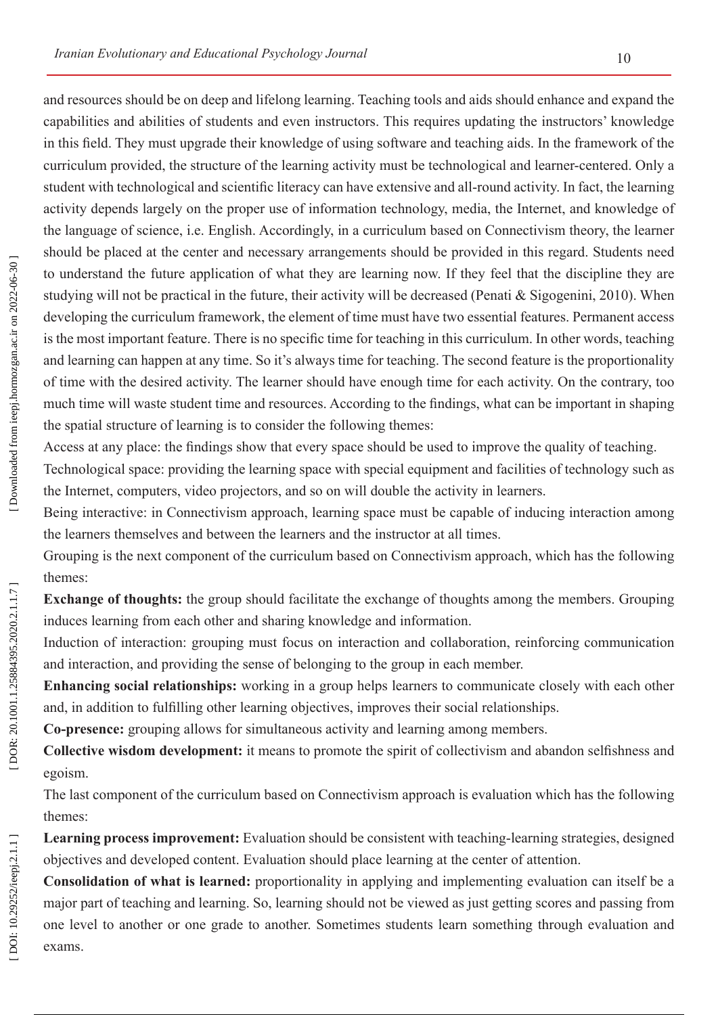and resources should be on deep and lifelong learning. Teaching tools and aids should enhance and expand the capabilities and abilities of students and even instructors. This requires updating the instructors' knowledge in this field. They must upgrade their knowledge of using software and teaching aids. In the framework of the curriculum provided, the structure of the learning activity must be technological and learner-centered. Only a student with technological and scientific literacy can have extensive and all-round activity. In fact, the learning activity depends largely on the proper use of information technology, media, the Internet, and knowledge of the language of science, i.e. English. Accordingly, in a curriculum based on Connectivism theory, the learner should be placed at the center and necessary arrangements should be provided in this regard. Students need to understand the future application of what they are learning now. If they feel that the discipline they are studying will not be practical in the future, their activity will be decreased (Penati & Sigogenini, 2010). When developing the curriculum framework, the element of time must have two essential features. Permanent access is the most important feature. There is no specific time for teaching in this curriculum. In other words, teaching and learning can happen at any time. So it's always time for teaching. The second feature is the proportionality of time with the desired activity. The learner should have enough time for each activity. On the contrary, too much time will waste student time and resources. According to the findings, what can be important in shaping the spatial structure of learning is to consider the following themes:

Access at any place: the findings show that every space should be used to improve the quality of teaching.

Technological space: providing the learning space with special equipment and facilities of technology such as the Internet, computers, video projectors, and so on will double the activity in learners.

Being interactive: in Connectivism approach, learning space must be capable of inducing interaction among the learners themselves and between the learners and the instructor at all times.

Grouping is the next component of the curriculum based on Connectivism approach, which has the following themes:

**Exchange of thoughts:** the group should facilitate the exchange of thoughts among the members. Grouping induces learning from each other and sharing knowledge and information.

Induction of interaction: grouping must focus on interaction and collaboration, reinforcing communication and interaction, and providing the sense of belonging to the group in each member.

**Enhancing social relationships:** working in a group helps learners to communicate closely with each other and, in addition to fulfilling other learning objectives, improves their social relationships.

**Co-presence:** grouping allows for simultaneous activity and learning among members.

**Collective wisdom development:** it means to promote the spirit of collectivism and abandon selfishness and egoism.

The last component of the curriculum based on Connectivism approach is evaluation which has the following themes:

**Learning process improvement:** Evaluation should be consistent with teaching-learning strategies, designed objectives and developed content. Evaluation should place learning at the center of attention.

**Consolidation of what is learned:** proportionality in applying and implementing evaluation can itself be a major part of teaching and learning. So, learning should not be viewed as just getting scores and passing from one level to another or one grade to another. Sometimes students learn something through evaluation and exams.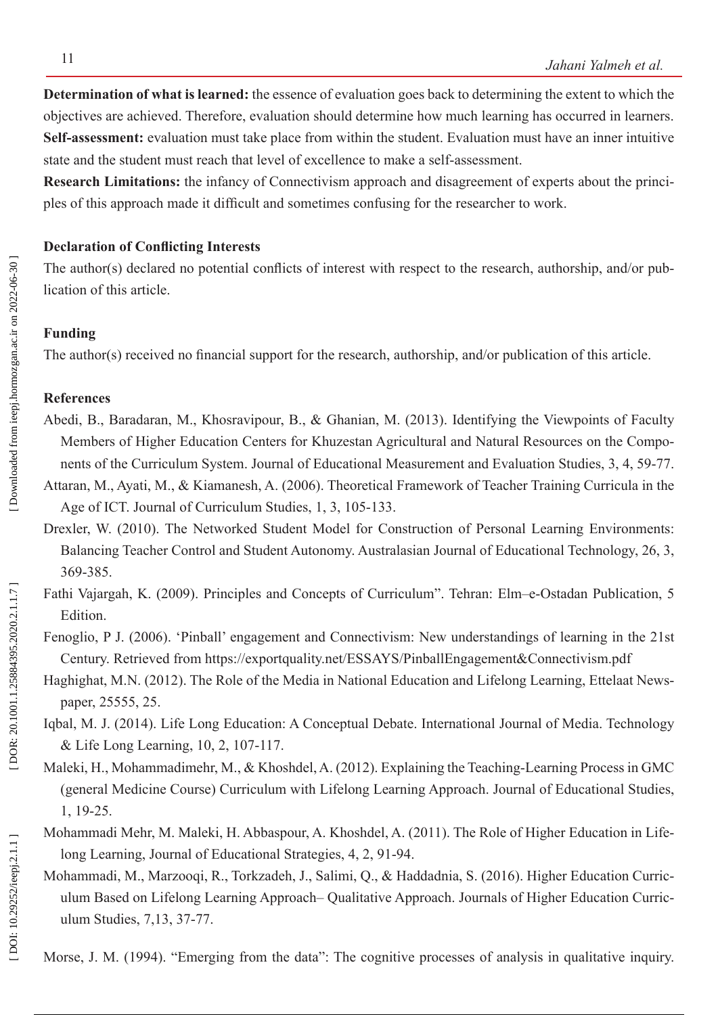**Determination of what is learned:** the essence of evaluation goes back to determining the extent to which the objectives are achieved. Therefore, evaluation should determine how much learning has occurred in learners. **Self-assessment:** evaluation must take place from within the student. Evaluation must have an inner intuitive state and the student must reach that level of excellence to make a self-assessment.

**Research Limitations:** the infancy of Connectivism approach and disagreement of experts about the princi ples of this approach made it difficult and sometimes confusing for the researcher to work.

## **Declaration of Conflicting Interests**

The author(s) declared no potential conflicts of interest with respect to the research, authorship, and/or pub lication of this article.

#### **Funding**

The author(s) received no financial support for the research, authorship, and/or publication of this article.

# **References**

- Abedi, B., Baradaran, M., Khosravipour, B., & Ghanian, M. (2013). Identifying the Viewpoints of Faculty Members of Higher Education Centers for Khuzestan Agricultural and Natural Resources on the Compo nents of the Curriculum System. Journal of Educational Measurement and Evaluation Studies, 3, 4, 59-77.
- Attaran, M., Ayati, M., & Kiamanesh, A. (2006). Theoretical Framework of Teacher Training Curricula in the Age of ICT. Journal of Curriculum Studies, 1, 3, 105-133.
- Drexler, W. (2010). The Networked Student Model for Construction of Personal Learning Environments: Balancing Teacher Control and Student Autonomy. Australasian Journal of Educational Technology, 26, 3, 369-385.
- Fathi Vajargah, K. (2009). Principles and Concepts of Curriculum". Tehran: Elm–e-Ostadan Publication, 5 **Edition**
- Fenoglio, P J. (2006). 'Pinball' engagement and Connectivism: New understandings of learning in the 21st Century. Retrieved from <https://exportquality.net/ESSAYS/PinballEngagement&Connectivism.pdf>
- Haghighat, M.N. (2012). The Role of the Media in National Education and Lifelong Learning, Ettelaat News paper, 25555, 25.
- Iqbal, M. J. (2014). Life Long Education: A Conceptual Debate. International Journal of Media. Technology & Life Long Learning, 10, 2, 107-117.
- Maleki, H., Mohammadimehr, M., & Khoshdel, A. (2012). Explaining the Teaching-Learning Process in GMC (general Medicine Course) Curriculum with Lifelong Learning Approach. Journal of Educational Studies, 1, 19-25.
- Mohammadi Mehr, M. Maleki, H. Abbaspour, A. Khoshdel, A. (2011). The Role of Higher Education in Life long Learning, Journal of Educational Strategies, 4, 2, 91-94.
- Mohammadi, M., Marzooqi, R., Torkzadeh, J., Salimi, Q., & Haddadnia, S. (2016). Higher Education Curric ulum Based on Lifelong Learning Approach– Qualitative Approach. Journals of Higher Education Curric ulum Studies, 7,13, 37-77.